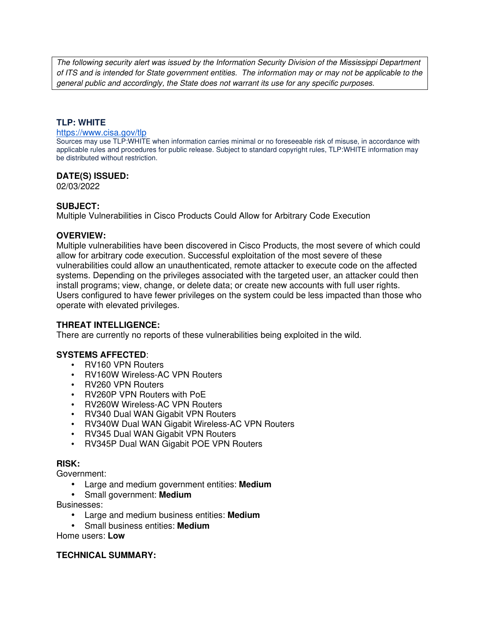The following security alert was issued by the Information Security Division of the Mississippi Department of ITS and is intended for State government entities. The information may or may not be applicable to the general public and accordingly, the State does not warrant its use for any specific purposes.

# **TLP: WHITE**

#### https://www.cisa.gov/tlp

Sources may use TLP:WHITE when information carries minimal or no foreseeable risk of misuse, in accordance with applicable rules and procedures for public release. Subject to standard copyright rules, TLP:WHITE information may be distributed without restriction.

### **DATE(S) ISSUED:**

02/03/2022

### **SUBJECT:**

Multiple Vulnerabilities in Cisco Products Could Allow for Arbitrary Code Execution

### **OVERVIEW:**

Multiple vulnerabilities have been discovered in Cisco Products, the most severe of which could allow for arbitrary code execution. Successful exploitation of the most severe of these vulnerabilities could allow an unauthenticated, remote attacker to execute code on the affected systems. Depending on the privileges associated with the targeted user, an attacker could then install programs; view, change, or delete data; or create new accounts with full user rights. Users configured to have fewer privileges on the system could be less impacted than those who operate with elevated privileges.

# **THREAT INTELLIGENCE:**

There are currently no reports of these vulnerabilities being exploited in the wild.

# **SYSTEMS AFFECTED**:

- RV160 VPN Routers
- RV160W Wireless-AC VPN Routers
- RV260 VPN Routers
- RV260P VPN Routers with PoE
- RV260W Wireless-AC VPN Routers
- RV340 Dual WAN Gigabit VPN Routers
- RV340W Dual WAN Gigabit Wireless-AC VPN Routers
- RV345 Dual WAN Gigabit VPN Routers
- RV345P Dual WAN Gigabit POE VPN Routers

### **RISK:**

Government:

- Large and medium government entities: **Medium**
- Small government: **Medium**

Businesses:

- Large and medium business entities: **Medium**
- Small business entities: **Medium**

Home users: **Low**

### **TECHNICAL SUMMARY:**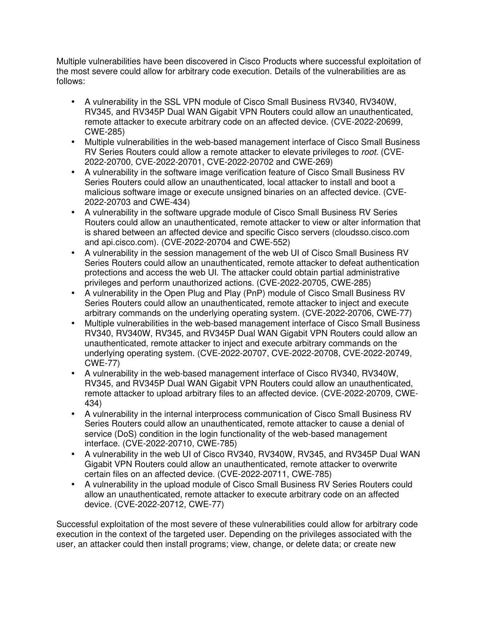Multiple vulnerabilities have been discovered in Cisco Products where successful exploitation of the most severe could allow for arbitrary code execution. Details of the vulnerabilities are as follows:

- A vulnerability in the SSL VPN module of Cisco Small Business RV340, RV340W, RV345, and RV345P Dual WAN Gigabit VPN Routers could allow an unauthenticated, remote attacker to execute arbitrary code on an affected device. (CVE-2022-20699, CWE-285)
- Multiple vulnerabilities in the web-based management interface of Cisco Small Business RV Series Routers could allow a remote attacker to elevate privileges to root. (CVE-2022-20700, CVE-2022-20701, CVE-2022-20702 and CWE-269)
- A vulnerability in the software image verification feature of Cisco Small Business RV Series Routers could allow an unauthenticated, local attacker to install and boot a malicious software image or execute unsigned binaries on an affected device. (CVE-2022-20703 and CWE-434)
- A vulnerability in the software upgrade module of Cisco Small Business RV Series Routers could allow an unauthenticated, remote attacker to view or alter information that is shared between an affected device and specific Cisco servers (cloudsso.cisco.com and api.cisco.com). (CVE-2022-20704 and CWE-552)
- A vulnerability in the session management of the web UI of Cisco Small Business RV Series Routers could allow an unauthenticated, remote attacker to defeat authentication protections and access the web UI. The attacker could obtain partial administrative privileges and perform unauthorized actions. (CVE-2022-20705, CWE-285)
- A vulnerability in the Open Plug and Play (PnP) module of Cisco Small Business RV Series Routers could allow an unauthenticated, remote attacker to inject and execute arbitrary commands on the underlying operating system. (CVE-2022-20706, CWE-77)
- Multiple vulnerabilities in the web-based management interface of Cisco Small Business RV340, RV340W, RV345, and RV345P Dual WAN Gigabit VPN Routers could allow an unauthenticated, remote attacker to inject and execute arbitrary commands on the underlying operating system. (CVE-2022-20707, CVE-2022-20708, CVE-2022-20749, CWE-77)
- A vulnerability in the web-based management interface of Cisco RV340, RV340W, RV345, and RV345P Dual WAN Gigabit VPN Routers could allow an unauthenticated, remote attacker to upload arbitrary files to an affected device. (CVE-2022-20709, CWE-434)
- A vulnerability in the internal interprocess communication of Cisco Small Business RV Series Routers could allow an unauthenticated, remote attacker to cause a denial of service (DoS) condition in the login functionality of the web-based management interface. (CVE-2022-20710, CWE-785)
- A vulnerability in the web UI of Cisco RV340, RV340W, RV345, and RV345P Dual WAN Gigabit VPN Routers could allow an unauthenticated, remote attacker to overwrite certain files on an affected device. (CVE-2022-20711, CWE-785)
- A vulnerability in the upload module of Cisco Small Business RV Series Routers could allow an unauthenticated, remote attacker to execute arbitrary code on an affected device. (CVE-2022-20712, CWE-77)

Successful exploitation of the most severe of these vulnerabilities could allow for arbitrary code execution in the context of the targeted user. Depending on the privileges associated with the user, an attacker could then install programs; view, change, or delete data; or create new